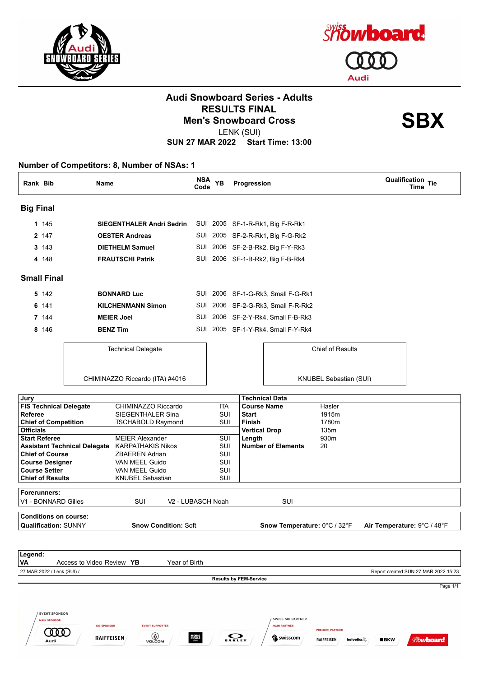

**COOD** 

Audi

 $\circ$ 

**MONS**<br>ROYALE

RAIFFEISEN



#### **Audi Snowboard Series - Adults RESULTS FINAL<br>Men's Snowboard Cross**<br> **SBX**

LENK (SUI)

**SUN 27 MAR 2022 Start Time: 13:00**

#### **Number of Competitors: 8, Number of NSAs: 1**

| Rank Bib         |                    | Name                             | <b>NSA</b><br>Code | <b>YB</b> | Progression |                                    | <b>Qualification Tie</b><br>Time |
|------------------|--------------------|----------------------------------|--------------------|-----------|-------------|------------------------------------|----------------------------------|
| <b>Big Final</b> |                    |                                  |                    |           |             |                                    |                                  |
|                  | 1 145              | <b>SIEGENTHALER Andri Sedrin</b> | SUI                |           |             | 2005 SF-1-R-Rk1, Big F-R-Rk1       |                                  |
|                  | 2 147              | <b>OESTER Andreas</b>            | SUI                | 2005      |             | SF-2-R-Rk1, Big F-G-Rk2            |                                  |
|                  | 3 143              | <b>DIETHELM Samuel</b>           |                    |           |             | SUI 2006 SF-2-B-Rk2, Big F-Y-Rk3   |                                  |
|                  | 4 148              | <b>FRAUTSCHI Patrik</b>          |                    |           |             | SUI 2006 SF-1-B-Rk2, Big F-B-Rk4   |                                  |
|                  | <b>Small Final</b> |                                  |                    |           |             |                                    |                                  |
|                  | 5 142              | <b>BONNARD Luc</b>               |                    |           |             | SUI 2006 SF-1-G-Rk3, Small F-G-Rk1 |                                  |
|                  | 6 141              | <b>KILCHENMANN Simon</b>         | SUI                |           |             | 2006 SF-2-G-Rk3, Small F-R-Rk2     |                                  |
|                  | 7 144              | <b>MEIER Joel</b>                | SUI                |           |             | 2006 SF-2-Y-Rk4, Small F-B-Rk3     |                                  |
|                  | 8 146              | <b>BENZ Tim</b>                  |                    |           |             | SUI 2005 SF-1-Y-Rk4, Small F-Y-Rk4 |                                  |
|                  |                    | <b>Technical Delegate</b>        |                    |           |             | <b>Chief of Results</b>            |                                  |
|                  |                    | CHIMINAZZO Riccardo (ITA) #4016  |                    |           |             | KNUBEL Sebastian (SUI)             |                                  |

| Jury                                              |                             |                               | <b>Technical Data</b>         |        |                                      |
|---------------------------------------------------|-----------------------------|-------------------------------|-------------------------------|--------|--------------------------------------|
| <b>FIS Technical Delegate</b>                     | CHIMINAZZO Riccardo         | <b>ITA</b>                    | <b>Course Name</b>            | Hasler |                                      |
| <b>Referee</b>                                    | SIEGENTHALER Sina           | SUI                           | <b>Start</b>                  | 1915m  |                                      |
| <b>Chief of Competition</b>                       | TSCHABOLD Raymond           | SUI                           | Finish                        | 1780m  |                                      |
| <b>Officials</b>                                  |                             |                               | <b>Vertical Drop</b>          | 135m   |                                      |
| <b>Start Referee</b>                              | <b>MEIER Alexander</b>      | SUI                           | Length                        | 930m   |                                      |
| <b>Assistant Technical Delegate</b>               | <b>KARPATHAKIS Nikos</b>    | SUI                           | <b>Number of Elements</b>     | 20     |                                      |
| <b>Chief of Course</b>                            | <b>ZBAEREN Adrian</b>       | SUI                           |                               |        |                                      |
| <b>Course Designer</b>                            | VAN MEEL Guido              | SUI                           |                               |        |                                      |
| <b>Course Setter</b>                              | VAN MEEL Guido              | SUI                           |                               |        |                                      |
| <b>Chief of Results</b>                           | <b>KNUBEL Sebastian</b>     | SUI                           |                               |        |                                      |
|                                                   |                             |                               |                               |        |                                      |
| Forerunners:                                      |                             |                               |                               |        |                                      |
| V1 - BONNARD Gilles                               | <b>SUI</b>                  | V <sub>2</sub> - LUBASCH Noah | <b>SUI</b>                    |        |                                      |
| <b>Conditions on course:</b>                      |                             |                               |                               |        |                                      |
| <b>Qualification: SUNNY</b>                       | <b>Snow Condition: Soft</b> |                               | Snow Temperature: 0°C / 32°F  |        | Air Temperature: 9°C / 48°F          |
|                                                   |                             |                               |                               |        |                                      |
|                                                   |                             |                               |                               |        |                                      |
| Legend:<br><b>VA</b><br>Access to Video Review YB | Year of Birth               |                               |                               |        |                                      |
| 27 MAR 2022 / Lenk (SUI) /                        |                             |                               |                               |        | Report created SUN 27 MAR 2022 15:23 |
|                                                   |                             |                               | <b>Results by FEM-Service</b> |        |                                      |
|                                                   |                             |                               |                               |        | Page 1/1                             |
|                                                   |                             |                               |                               |        |                                      |
|                                                   |                             |                               |                               |        |                                      |
| <b>EVENT SPONSOR</b>                              |                             |                               |                               |        |                                      |
| <b>MAIN SPONSOR</b>                               |                             |                               | <b>SWISS-SKI PARTNER</b>      |        |                                      |

 $\sum_{\mathbf{0} \text{ A} \text{ K} \text{ L} \text{ E} \text{ Y}}$ 

Swisscom

**RAIFFEISEN** 

helvetia $\mathbb{\mathbb{A}}$ 

 $BKN$ 

**Showboard**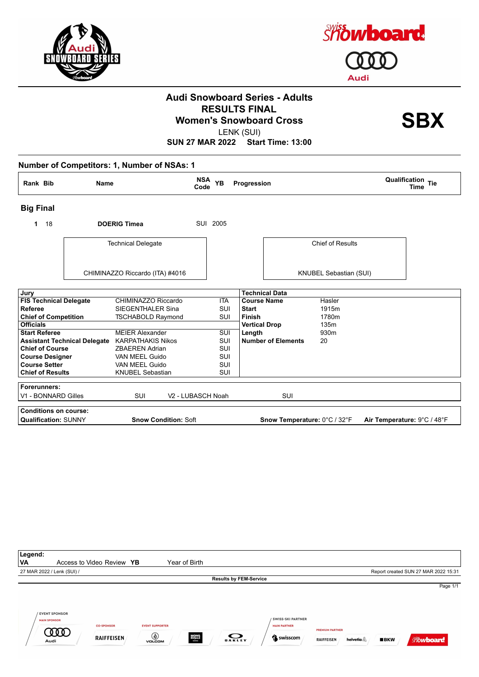



## **Audi Snowboard Series - Adults RESULTS FINAL<br>Women's Snowboard Cross**<br>
LENIX (SLII)

LENK (SUI)

| Rank Bib                      | Name                                |                                 | <b>NSA</b><br>Code | <b>YB</b>  | Progression                     | <b>Qualification Tie</b><br>Time |
|-------------------------------|-------------------------------------|---------------------------------|--------------------|------------|---------------------------------|----------------------------------|
| <b>Big Final</b>              |                                     |                                 |                    |            |                                 |                                  |
| 18<br>1                       |                                     | <b>DOERIG Timea</b>             |                    | SUI 2005   |                                 |                                  |
|                               |                                     | <b>Technical Delegate</b>       |                    |            | <b>Chief of Results</b>         |                                  |
|                               |                                     | CHIMINAZZO Riccardo (ITA) #4016 |                    |            | KNUBEL Sebastian (SUI)          |                                  |
| Jury                          |                                     |                                 |                    |            | <b>Technical Data</b>           |                                  |
| <b>FIS Technical Delegate</b> |                                     | CHIMINAZZO Riccardo             |                    | <b>ITA</b> | <b>Course Name</b><br>Hasler    |                                  |
| <b>Referee</b>                |                                     | SIEGENTHALER Sina               |                    | SUI        | <b>Start</b><br>1915m           |                                  |
| <b>Chief of Competition</b>   |                                     | <b>TSCHABOLD Raymond</b>        |                    | <b>SUI</b> | <b>Finish</b><br>1780m          |                                  |
| <b>Officials</b>              |                                     |                                 |                    |            | <b>Vertical Drop</b><br>135m    |                                  |
| <b>Start Referee</b>          |                                     | <b>MEIER Alexander</b>          |                    | SUI        | Length<br>930m                  |                                  |
|                               | <b>Assistant Technical Delegate</b> | <b>KARPATHAKIS Nikos</b>        |                    | SUI        | <b>Number of Elements</b><br>20 |                                  |
| <b>Chief of Course</b>        |                                     | <b>ZBAEREN Adrian</b>           |                    | <b>SUI</b> |                                 |                                  |
| <b>Course Designer</b>        |                                     | VAN MEEL Guido                  |                    | <b>SUI</b> |                                 |                                  |
| <b>Course Setter</b>          |                                     | VAN MEEL Guido                  |                    | <b>SUI</b> |                                 |                                  |
| <b>Chief of Results</b>       |                                     | <b>KNUBEL Sebastian</b>         |                    | SUI        |                                 |                                  |
| Forerunners:                  |                                     |                                 |                    |            |                                 |                                  |
| V1 - BONNARD Gilles           |                                     | <b>SUI</b>                      | V2 - LUBASCH Noah  |            | SUI                             |                                  |
| <b>Conditions on course:</b>  |                                     |                                 |                    |            |                                 |                                  |
| <b>Qualification: SUNNY</b>   |                                     | <b>Snow Condition: Soft</b>     |                    |            | Snow Temperature: 0°C / 32°F    | Air Temperature: 9°C / 48°F      |

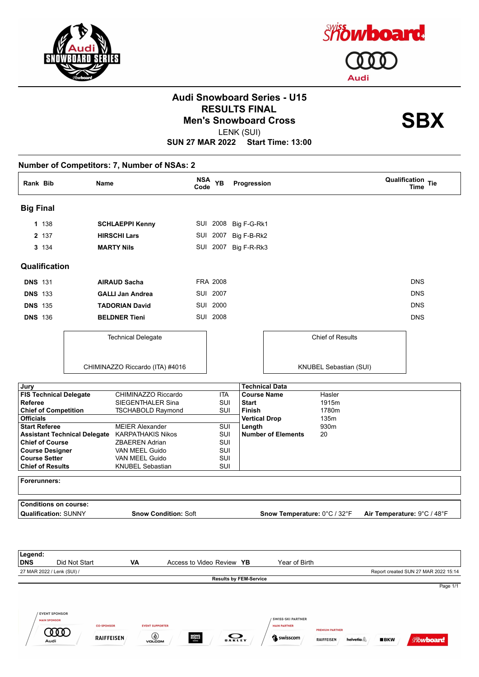



## **Audi Snowboard Series - U15 RESULTS FINAL<br>Men's Snowboard Cross**<br> **SBX**

LENK (SUI)

**SUN 27 MAR 2022 Start Time: 13:00**

**Number of Competitors: 7, Number of NSAs: 2 Rank Bib Name NSA Code YB Qualification Time Progression Tie Big Final 1** 138 **SCHLAEPPI Kenny** SUI 2008 Big F-G-Rk1 **2** 137 **HIRSCHI Lars** SUI 2007 Big F-B-Rk2 **3** 134 **MARTY Nils** SUI 2007 Big F-R-Rk3 **Qualification DNS** 131 **AIRAUD Sacha** FRA 2008 DNS **DNS** 133 **GALLI Jan Andrea** SUI 2007 DNS **DNS** 135 **TADORIAN David** SUI 2000 DNS **DNS** 136 **BELDNER Tieni** SUI 2008 **DNS** 136 **DNS** Technical Delegate Chief of Results CHIMINAZZO Riccardo (ITA) #4016 KNUBEL Sebastian (SUI) **Jury Technical Data FIS Technical Delegate** CHIMINAZZO Riccardo ITA **Course Name** Hasler **Referee** SIEGENTHALER Sina SUI Start 1915m **Chief of Competition** TSCHABOLD Raymond SUI **Finish** 1780m **Officials Vertical Drop** 135m **Start Referee** MEIER Alexander SUI **Length** 930m **Assistant Technical Delegate** KARPATHAKIS Nikos SUI **Number of Elements** 20 **Chief of Course** ZBAEREN Adrian SUI SUI **Course Designer** VAN MEEL Guido **Course Setter** VAN MEEL Guido SUI **Chief of Results** KNUBEL Sebastian SUI **Forerunners: Conditions on course: Qualification:** SUNNY **Snow Condition:** Soft **Snow Temperature:** 0°C / 32°F **Air Temperature:** 9°C / 48°F **Legend: DNS** Did Not Start **VA** Access to Video Review **YB** Year of Birth 27 MAR 2022 / Lenk (SUI) / Report created SUN 27 MAR 2022 15:14 **Results by FEM-Service** Page 1/1**EVENT SPONSOR** SWISS-SKI PARTNER **MAIN SPONSOR EVENT SUPPORTER CO-SPONSOR HAIN PARTNER COOD O**  $\sum_{\mathbf{0} \text{ A K L E Y}}$ **RAIFFEISEN MONS**<br>ROYALE

Swisscom

**RAIFFEISEN** 

helvetia

 $BKN$ 

**Showboard**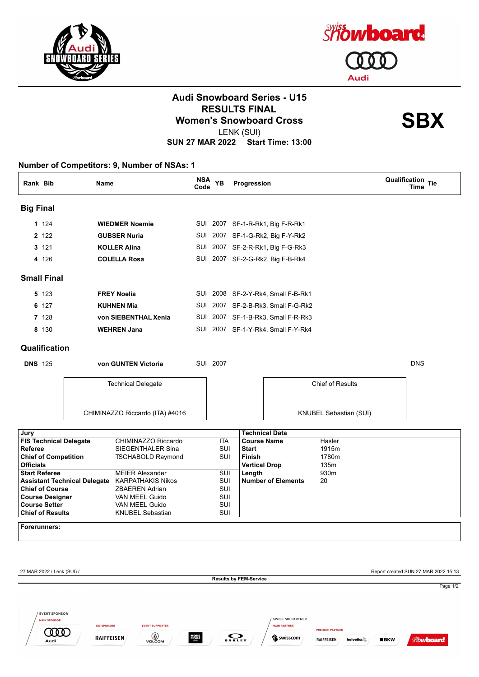



# **Audi Snowboard Series - U15 RESULTS FINAL<br>Women's Snowboard Cross**<br>
LENIX (SLII)

LENK (SUI)

| Rank Bib         |                            | Name                                                                                     | NSA<br>Code | <b>YB</b>  | Progression                   |                                    |                        |                                      | Qualification Tie<br>Time |
|------------------|----------------------------|------------------------------------------------------------------------------------------|-------------|------------|-------------------------------|------------------------------------|------------------------|--------------------------------------|---------------------------|
| <b>Big Final</b> |                            |                                                                                          |             |            |                               |                                    |                        |                                      |                           |
|                  | 1 1 2 4                    | <b>WIEDMER Noemie</b>                                                                    |             |            |                               | SUI 2007 SF-1-R-Rk1, Big F-R-Rk1   |                        |                                      |                           |
|                  | 2 122                      | <b>GUBSER Nuria</b>                                                                      |             |            |                               | SUI 2007 SF-1-G-Rk2, Big F-Y-Rk2   |                        |                                      |                           |
|                  | 3 121                      | <b>KOLLER Alina</b>                                                                      |             |            |                               | SUI 2007 SF-2-R-Rk1, Big F-G-Rk3   |                        |                                      |                           |
|                  | 4 126                      | <b>COLELLA Rosa</b>                                                                      |             |            |                               | SUI 2007 SF-2-G-Rk2, Big F-B-Rk4   |                        |                                      |                           |
|                  | <b>Small Final</b>         |                                                                                          |             |            |                               |                                    |                        |                                      |                           |
|                  | 5 123                      | <b>FREY Noelia</b>                                                                       |             |            |                               | SUI 2008 SF-2-Y-Rk4, Small F-B-Rk1 |                        |                                      |                           |
|                  | 6 127                      | <b>KUHNEN Mia</b>                                                                        |             |            |                               | SUI 2007 SF-2-B-Rk3, Small F-G-Rk2 |                        |                                      |                           |
|                  | 7 128                      | von SIEBENTHAL Xenia                                                                     |             |            |                               | SUI 2007 SF-1-B-Rk3, Small F-R-Rk3 |                        |                                      |                           |
|                  | 8 130                      | <b>WEHREN Jana</b>                                                                       |             |            |                               | SUI 2007 SF-1-Y-Rk4, Small F-Y-Rk4 |                        |                                      |                           |
|                  | Qualification              |                                                                                          |             |            |                               |                                    |                        |                                      |                           |
| <b>DNS 125</b>   |                            | von GUNTEN Victoria                                                                      |             | SUI 2007   |                               |                                    |                        |                                      | <b>DNS</b>                |
|                  |                            | <b>Technical Delegate</b>                                                                |             |            |                               |                                    | Chief of Results       |                                      |                           |
|                  |                            | CHIMINAZZO Riccardo (ITA) #4016                                                          |             |            |                               |                                    | KNUBEL Sebastian (SUI) |                                      |                           |
| Jury             |                            |                                                                                          |             |            | <b>Technical Data</b>         |                                    |                        |                                      |                           |
|                  |                            | <b>FIS Technical Delegate</b><br>CHIMINAZZO Riccardo                                     |             | ITA        | <b>Course Name</b>            |                                    | Hasler                 |                                      |                           |
| Referee          |                            | SIEGENTHALER Sina<br><b>Chief of Competition</b><br><b>TSCHABOLD Raymond</b>             |             | SUI<br>SUI | <b>Start</b><br>Finish        |                                    | 1915m<br>1780m         |                                      |                           |
| <b>Officials</b> |                            |                                                                                          |             |            | <b>Vertical Drop</b>          |                                    | 135m                   |                                      |                           |
|                  | <b>Start Referee</b>       | <b>MEIER Alexander</b>                                                                   |             | SUI        | Length                        |                                    | 930m                   |                                      |                           |
|                  | <b>Chief of Course</b>     | <b>Assistant Technical Delegate</b><br><b>KARPATHAKIS Nikos</b><br><b>ZBAEREN Adrian</b> |             | SUI<br>SUI |                               | <b>Number of Elements</b>          | 20                     |                                      |                           |
|                  | <b>Course Designer</b>     | VAN MEEL Guido                                                                           |             | SUI        |                               |                                    |                        |                                      |                           |
|                  | <b>Course Setter</b>       | VAN MEEL Guido                                                                           |             | SUI        |                               |                                    |                        |                                      |                           |
|                  | <b>Chief of Results</b>    | <b>KNUBEL Sebastian</b>                                                                  |             | SUI        |                               |                                    |                        |                                      |                           |
|                  | <b>Forerunners:</b>        |                                                                                          |             |            |                               |                                    |                        |                                      |                           |
|                  |                            |                                                                                          |             |            |                               |                                    |                        |                                      |                           |
|                  |                            |                                                                                          |             |            |                               |                                    |                        |                                      |                           |
|                  | 27 MAR 2022 / Lenk (SUI) / |                                                                                          |             |            | <b>Results by FEM-Service</b> |                                    |                        | Report created SUN 27 MAR 2022 15:13 |                           |
|                  |                            |                                                                                          |             |            |                               |                                    |                        |                                      |                           |
|                  |                            |                                                                                          |             |            |                               |                                    |                        |                                      |                           |
|                  | <b>EVENT SPONSOR</b>       |                                                                                          |             |            |                               |                                    |                        |                                      |                           |
|                  | <b>MAIN SPONSOR</b>        |                                                                                          |             |            |                               | <b>SWISS-SKI PARTNER</b>           |                        |                                      |                           |
|                  |                            | <b>CO-SPONSOR</b><br><b>EVENT SUPPORTER</b>                                              |             |            |                               | <b>MAIN PARTNER</b>                | <b>PREMIUM PARTNER</b> |                                      |                           |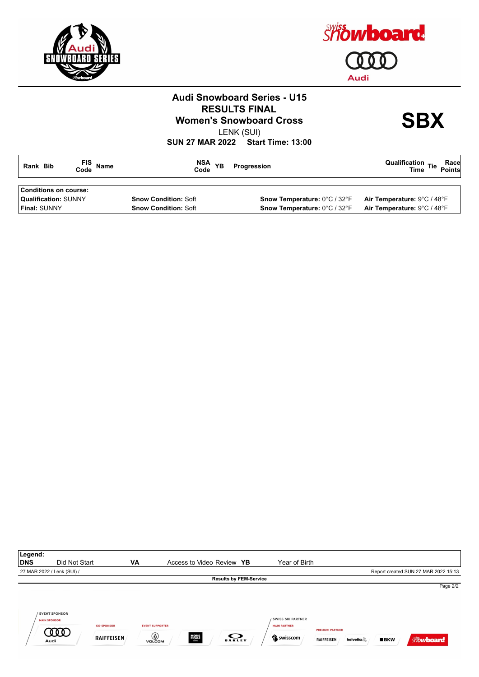



## **Audi Snowboard Series - U15 RESULTS FINAL<br>Women's Snowboard Cross**<br>
LENIX (SLII)

LENK (SUI)

| Rank Bib                                             | FIS Name<br>Code Name | NSA YB<br>Code              | Progression                  | Race<br>Points<br>Qualification $T_{\text{free}}$ Tie<br><b>Time</b> |
|------------------------------------------------------|-----------------------|-----------------------------|------------------------------|----------------------------------------------------------------------|
| Conditions on course:<br><b>Qualification: SUNNY</b> |                       | <b>Snow Condition: Soft</b> | Snow Temperature: 0°C / 32°F | Air Temperature: 9°C / 48°F                                          |
| <b>Final:</b> SUNNY                                  |                       | <b>Snow Condition: Soft</b> | Snow Temperature: 0°C / 32°F | Air Temperature: 9°C / 48°F                                          |

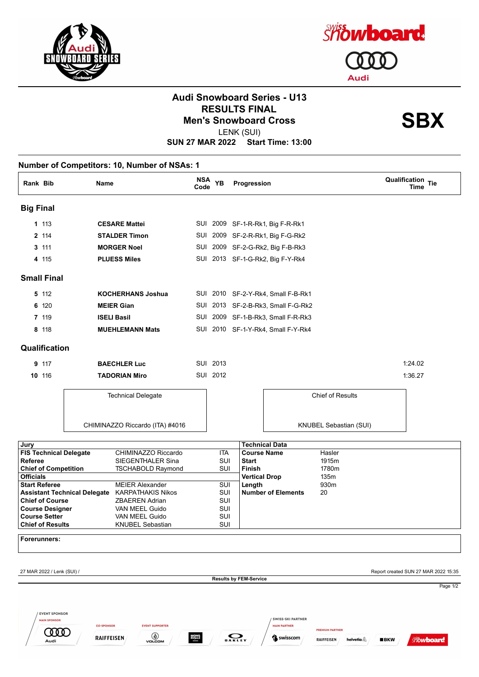



# **Audi Snowboard Series - U13 RESULTS FINAL<br>Men's Snowboard Cross**<br> **SBX**

LENK (SUI)

| Rank Bib         |                                                            | <b>Name</b>                                                                | Code                  | NSA YB     | Progression                   |                                                               |                                                                     | Qualification Tie<br><b>Time</b>                  |
|------------------|------------------------------------------------------------|----------------------------------------------------------------------------|-----------------------|------------|-------------------------------|---------------------------------------------------------------|---------------------------------------------------------------------|---------------------------------------------------|
| <b>Big Final</b> |                                                            |                                                                            |                       |            |                               |                                                               |                                                                     |                                                   |
|                  | 1 113                                                      | <b>CESARE Mattei</b>                                                       |                       |            |                               | SUI 2009 SF-1-R-Rk1, Big F-R-Rk1                              |                                                                     |                                                   |
|                  | 2 114                                                      | <b>STALDER Timon</b>                                                       |                       |            |                               | SUI 2009 SF-2-R-Rk1, Big F-G-Rk2                              |                                                                     |                                                   |
|                  | 3 111                                                      | <b>MORGER Noel</b>                                                         |                       |            |                               | SUI 2009 SF-2-G-Rk2, Big F-B-Rk3                              |                                                                     |                                                   |
|                  | 4 115                                                      | <b>PLUESS Miles</b>                                                        |                       |            |                               | SUI 2013 SF-1-G-Rk2, Big F-Y-Rk4                              |                                                                     |                                                   |
|                  | <b>Small Final</b>                                         |                                                                            |                       |            |                               |                                                               |                                                                     |                                                   |
|                  | 5 112                                                      | <b>KOCHERHANS Joshua</b>                                                   |                       |            |                               | SUI 2010 SF-2-Y-Rk4, Small F-B-Rk1                            |                                                                     |                                                   |
|                  | 6 120                                                      | <b>MEIER Gian</b>                                                          |                       |            |                               | SUI 2013 SF-2-B-Rk3, Small F-G-Rk2                            |                                                                     |                                                   |
|                  | 7 119                                                      | <b>ISELI Basil</b>                                                         |                       |            |                               | SUI 2009 SF-1-B-Rk3, Small F-R-Rk3                            |                                                                     |                                                   |
|                  | 8 118                                                      | <b>MUEHLEMANN Mats</b>                                                     |                       |            |                               | SUI 2010 SF-1-Y-Rk4, Small F-Y-Rk4                            |                                                                     |                                                   |
|                  | Qualification                                              |                                                                            |                       |            |                               |                                                               |                                                                     |                                                   |
|                  | 9 117                                                      | <b>BAECHLER Luc</b>                                                        |                       | SUI 2013   |                               |                                                               |                                                                     | 1:24.02                                           |
| 10 116           |                                                            | <b>TADORIAN Miro</b>                                                       |                       | SUI 2012   |                               |                                                               |                                                                     | 1:36.27                                           |
|                  |                                                            | <b>Technical Delegate</b>                                                  |                       |            |                               |                                                               | Chief of Results                                                    |                                                   |
|                  |                                                            |                                                                            |                       |            |                               |                                                               |                                                                     |                                                   |
|                  |                                                            | CHIMINAZZO Riccardo (ITA) #4016                                            |                       |            |                               |                                                               | KNUBEL Sebastian (SUI)                                              |                                                   |
| Jury             |                                                            |                                                                            |                       |            |                               | <b>Technical Data</b>                                         |                                                                     |                                                   |
|                  |                                                            | <b>FIS Technical Delegate</b><br>CHIMINAZZO Riccardo                       |                       | ITA        | <b>Course Name</b>            |                                                               | Hasler                                                              |                                                   |
| Referee          | <b>Chief of Competition</b>                                | SIEGENTHALER Sina<br><b>TSCHABOLD Raymond</b>                              |                       | SUI<br>SUI | <b>Start</b><br><b>Finish</b> |                                                               | 1915m<br>1780m                                                      |                                                   |
| <b>Officials</b> |                                                            |                                                                            |                       |            | <b>Vertical Drop</b>          |                                                               | 135m                                                                |                                                   |
|                  | <b>Start Referee</b>                                       | <b>MEIER Alexander</b>                                                     |                       | SUI        | Length                        |                                                               | 930m                                                                |                                                   |
|                  | <b>Chief of Course</b>                                     | <b>KARPATHAKIS Nikos</b><br><b>Assistant Technical Delegate</b>            |                       | SUI<br>SUI |                               | <b>Number of Elements</b>                                     | 20                                                                  |                                                   |
|                  | <b>Course Designer</b>                                     | ZBAEREN Adrian<br>VAN MEEL Guido                                           |                       | SUI        |                               |                                                               |                                                                     |                                                   |
|                  | Course Setter                                              | VAN MEEL Guido                                                             |                       | SUI        |                               |                                                               |                                                                     |                                                   |
|                  | <b>Chief of Results</b>                                    | <b>KNUBEL Sebastian</b>                                                    |                       | SUI        |                               |                                                               |                                                                     |                                                   |
|                  | Forerunners:                                               |                                                                            |                       |            |                               |                                                               |                                                                     |                                                   |
|                  | 27 MAR 2022 / Lenk (SUI) /                                 |                                                                            |                       |            |                               |                                                               |                                                                     | Report created SUN 27 MAR 2022 15:35              |
|                  |                                                            |                                                                            |                       |            | <b>Results by FEM-Service</b> |                                                               |                                                                     |                                                   |
|                  | <b>EVENT SPONSOR</b><br><b>MAIN SPONSOR</b><br>000<br>Audi | <b>CO-SPONSOR</b><br><b>EVENT SUPPORTER</b><br>VOLCOM<br><b>RAIFFEISEN</b> | <b>MONS</b><br>ROYALE |            | <b>OAKLEY</b>                 | <b>SWISS-SKI PARTNER</b><br><b>MAIN PARTNER</b><br>S swisscom | <b>PREMIUM PARTNER</b><br>helvetia $\triangle$<br><b>RAIFFEISEN</b> | Page 1/2<br><b>BKW</b><br><i><b>Showboard</b></i> |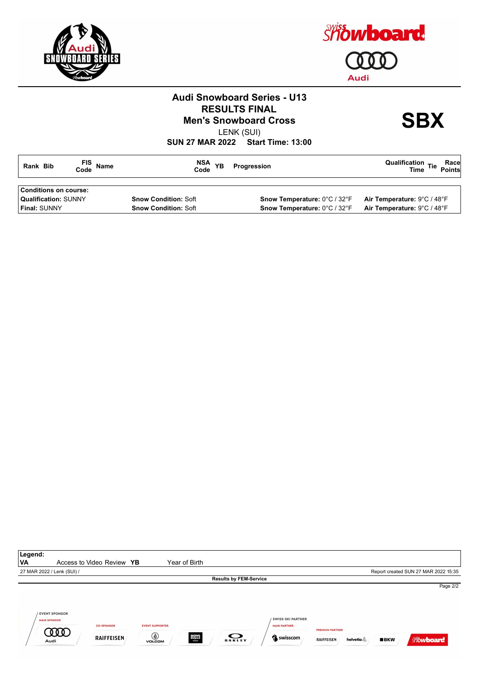



# **Audi Snowboard Series - U13 RESULTS FINAL<br>Men's Snowboard Cross**<br> **SBX**

LENK (SUI)

| Rank Bib                    | FIS Name | NSA<br>Code<br><b>YB</b>    | Progression                         | Race<br>Points<br>Qualification $T_{\text{free}}$ Tie<br><b>Time</b> |
|-----------------------------|----------|-----------------------------|-------------------------------------|----------------------------------------------------------------------|
| Conditions on course:       |          |                             |                                     |                                                                      |
| <b>Qualification: SUNNY</b> |          | <b>Snow Condition: Soft</b> | <b>Snow Temperature: 0°C / 32°F</b> | Air Temperature: 9°C / 48°F                                          |
| <b>Final:</b> SUNNY         |          | <b>Snow Condition: Soft</b> | Snow Temperature: 0°C / 32°F        | Air Temperature: 9°C / 48°F                                          |
|                             |          |                             |                                     |                                                                      |

| Legend:                     |                              |                                        |                                              |                       |                               |                                                             |                                             |                      |     |                                      |
|-----------------------------|------------------------------|----------------------------------------|----------------------------------------------|-----------------------|-------------------------------|-------------------------------------------------------------|---------------------------------------------|----------------------|-----|--------------------------------------|
| VA                          |                              | Access to Video Review YB              |                                              | Year of Birth         |                               |                                                             |                                             |                      |     |                                      |
| 27 MAR 2022 / Lenk (SUI) /  |                              |                                        |                                              |                       |                               |                                                             |                                             |                      |     | Report created SUN 27 MAR 2022 15:35 |
|                             |                              |                                        |                                              |                       | <b>Results by FEM-Service</b> |                                                             |                                             |                      |     |                                      |
|                             |                              |                                        |                                              |                       |                               |                                                             |                                             |                      |     | Page 2/2                             |
| <b>MAIN SPONSOR</b><br>Audi | <b>EVENT SPONSOR</b><br>.000 | <b>CO-SPONSOR</b><br><b>RAIFFEISEN</b> | <b>EVENT SUPPORTER</b><br>◉<br><b>VOLCOM</b> | <b>MONS</b><br>ROYALE | $\bullet$<br><b>OAKLEY</b>    | <b>SWISS-SKI PARTNER</b><br><b>MAIN PARTNER</b><br>Suisscom | <b>PREMIUM PARTNER</b><br><b>RAIFFEISEN</b> | helvetia $\mathbb A$ | BKN | <b>Showboard</b>                     |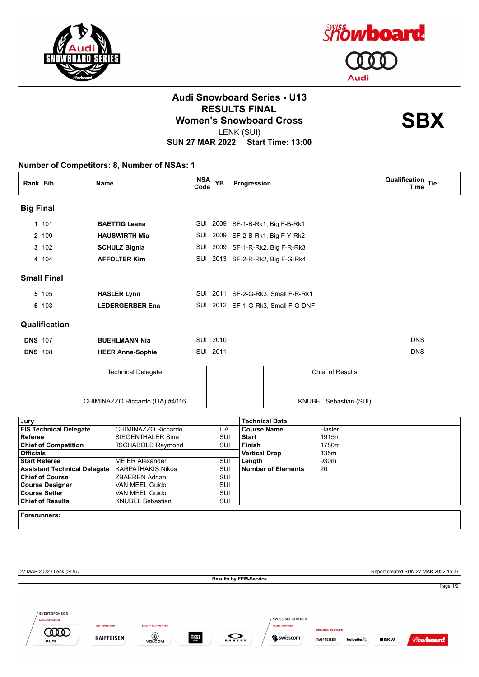



## **Audi Snowboard Series - U13 RESULTS FINAL<br>Women's Snowboard Cross**<br>
LENIX (SLII)

LENK (SUI)

|                                                 |                         | <b>Name</b>                                           | <b>NSA</b><br>Code | <b>YB</b>               | Progression                           |                                    | <b>Qualification Tie</b><br><b>Time</b> |
|-------------------------------------------------|-------------------------|-------------------------------------------------------|--------------------|-------------------------|---------------------------------------|------------------------------------|-----------------------------------------|
| <b>Big Final</b>                                |                         |                                                       |                    |                         |                                       |                                    |                                         |
| 1 101                                           |                         | <b>BAETTIG Leana</b>                                  |                    |                         |                                       | SUI 2009 SF-1-B-Rk1, Big F-B-Rk1   |                                         |
| 2 109                                           | <b>HAUSWIRTH Mia</b>    |                                                       |                    |                         |                                       | SUI 2009 SF-2-B-Rk1, Big F-Y-Rk2   |                                         |
| 3 102                                           | <b>SCHULZ Bignia</b>    |                                                       |                    |                         |                                       | SUI 2009 SF-1-R-Rk2, Big F-R-Rk3   |                                         |
| 4 104                                           |                         | <b>AFFOLTER Kim</b>                                   |                    |                         |                                       | SUI 2013 SF-2-R-Rk2, Big F-G-Rk4   |                                         |
| <b>Small Final</b>                              |                         |                                                       |                    |                         |                                       |                                    |                                         |
| 5 105                                           |                         | <b>HASLER Lynn</b>                                    |                    |                         |                                       | SUI 2011 SF-2-G-Rk3, Small F-R-Rk1 |                                         |
| 6 103                                           |                         | <b>LEDERGERBER Ena</b>                                |                    |                         |                                       | SUI 2012 SF-1-G-Rk3, Small F-G-DNF |                                         |
| Qualification                                   |                         |                                                       |                    |                         |                                       |                                    |                                         |
| <b>DNS 107</b>                                  | <b>BUEHLMANN Nia</b>    |                                                       |                    | SUI 2010                |                                       |                                    | <b>DNS</b>                              |
| <b>DNS 108</b>                                  | <b>HEER Anne-Sophie</b> |                                                       |                    | SUI 2011                |                                       |                                    | <b>DNS</b>                              |
|                                                 |                         | <b>Technical Delegate</b>                             |                    |                         |                                       | <b>Chief of Results</b>            |                                         |
|                                                 |                         | CHIMINAZZO Riccardo (ITA) #4016                       |                    |                         |                                       | KNUBEL Sebastian (SUI)             |                                         |
| Jury                                            |                         |                                                       |                    |                         |                                       | <b>Technical Data</b>              |                                         |
| <b>FIS Technical Delegate</b>                   |                         | CHIMINAZZO Riccardo                                   |                    | <b>ITA</b>              |                                       | <b>Course Name</b><br>Hasler       |                                         |
| <b>Referee</b>                                  |                         | SIEGENTHALER Sina                                     |                    | <b>SUI</b>              | <b>Start</b>                          | 1915m                              |                                         |
| <b>Chief of Competition</b><br><b>Officials</b> |                         | <b>TSCHABOLD Raymond</b>                              |                    | <b>SUI</b>              | <b>Finish</b><br><b>Vertical Drop</b> | 1780m<br>135m                      |                                         |
| <b>Start Referee</b>                            |                         | <b>MEIER Alexander</b>                                |                    | $\overline{\text{SUI}}$ | Length                                | 930m                               |                                         |
|                                                 |                         | <b>Assistant Technical Delegate KARPATHAKIS Nikos</b> |                    | SUI                     |                                       | <b>Number of Elements</b><br>20    |                                         |
| <b>Chief of Course</b>                          |                         | <b>ZBAEREN Adrian</b>                                 |                    | SUI                     |                                       |                                    |                                         |
| <b>Course Designer</b><br><b>Course Setter</b>  |                         | VAN MEEL Guido<br>VAN MEEL Guido                      |                    | SUI<br>SUI              |                                       |                                    |                                         |
| <b>Chief of Results</b>                         |                         | <b>KNUBEL Sebastian</b>                               |                    | <b>SUI</b>              |                                       |                                    |                                         |
| Forerunners:                                    |                         |                                                       |                    |                         |                                       |                                    |                                         |